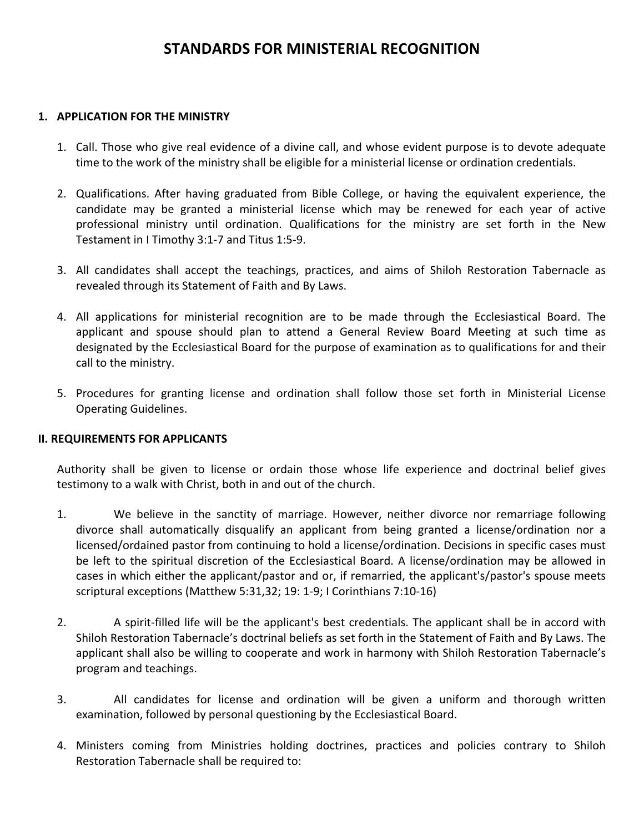## **STANDARDS FOR MINISTERIAL RECOGNITION**

#### 1. **APPLICATION FOR THE MINISTRY**

- 1. Call. Those who give real evidence of a divine call, and whose evident purpose is to devote adequate time to the work of the ministry shall be eligible for a ministerial license or ordination credentials.
- 2. Qualifications. After having graduated from Bible College, or having the equivalent experience, the candidate may be granted a ministerial license which may be renewed for each year of active professional ministry until ordination. Qualifications for the ministry are set forth in the New Testament in I Timothy 3:1-7 and Titus 1:5-9.
- 3. All candidates shall accept the teachings, practices, and aims of Shiloh Restoration Tabernacle as revealed through its Statement of Faith and By Laws.
- 4. All applications for ministerial recognition are to be made through the Ecclesiastical Board. The applicant and spouse should plan to attend a General Review Board Meeting at such time as designated by the Ecclesiastical Board for the purpose of examination as to qualifications for and their call to the ministry.
- 5. Procedures for granting license and ordination shall follow those set forth in Ministerial License Operating Guidelines.

## **II. REQUIREMENTS FOR APPLICANTS**

Authority shall be given to license or ordain those whose life experience and doctrinal belief gives testimony to a walk with Christ, both in and out of the church.

- 1. We believe in the sanctity of marriage. However, neither divorce nor remarriage following divorce shall automatically disqualify an applicant from being granted a license/ordination nor a licensed/ordained pastor from continuing to hold a license/ordination. Decisions in specific cases must be left to the spiritual discretion of the Ecclesiastical Board. A license/ordination may be allowed in cases in which either the applicant/pastor and or, if remarried, the applicant's/pastor's spouse meets scriptural exceptions (Matthew 5:31,32; 19: 1-9; I Corinthians 7:10-16)
- 2. A spirit-filled life will be the applicant's best credentials. The applicant shall be in accord with Shiloh Restoration Tabernacle's doctrinal beliefs as set forth in the Statement of Faith and By Laws. The applicant shall also be willing to cooperate and work in harmony with Shiloh Restoration Tabernacle's program and teachings.
- 3. All candidates for license and ordination will be given a uniform and thorough written examination, followed by personal questioning by the Ecclesiastical Board.
- 4. Ministers coming from Ministries holding doctrines, practices and policies contrary to Shiloh Restoration Tabernacle shall be required to: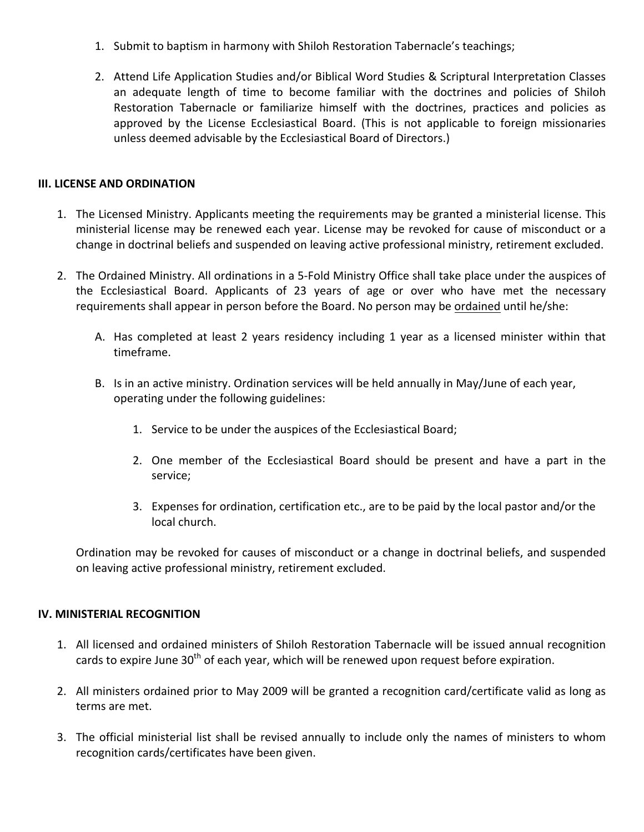- 1. Submit to baptism in harmony with Shiloh Restoration Tabernacle's teachings;
- 2. Attend Life Application Studies and/or Biblical Word Studies & Scriptural Interpretation Classes an adequate length of time to become familiar with the doctrines and policies of Shiloh Restoration Tabernacle or familiarize himself with the doctrines, practices and policies as approved by the License Ecclesiastical Board. (This is not applicable to foreign missionaries unless deemed advisable by the Ecclesiastical Board of Directors.)

## **III. LICENSE AND ORDINATION**

- 1. The Licensed Ministry. Applicants meeting the requirements may be granted a ministerial license. This ministerial license may be renewed each year. License may be revoked for cause of misconduct or a change in doctrinal beliefs and suspended on leaving active professional ministry, retirement excluded.
- 2. The Ordained Ministry. All ordinations in a 5-Fold Ministry Office shall take place under the auspices of the Ecclesiastical Board. Applicants of 23 years of age or over who have met the necessary requirements shall appear in person before the Board. No person may be ordained until he/she:
	- A. Has completed at least 2 years residency including 1 year as a licensed minister within that timeframe.
	- B. Is in an active ministry. Ordination services will be held annually in May/June of each year, operating under the following guidelines:
		- 1. Service to be under the auspices of the Ecclesiastical Board;
		- 2. One member of the Ecclesiastical Board should be present and have a part in the service;
		- 3. Expenses for ordination, certification etc., are to be paid by the local pastor and/or the local church.

Ordination may be revoked for causes of misconduct or a change in doctrinal beliefs, and suspended on leaving active professional ministry, retirement excluded.

## **IV. MINISTERIAL RECOGNITION**

- 1. All licensed and ordained ministers of Shiloh Restoration Tabernacle will be issued annual recognition cards to expire June 30<sup>th</sup> of each year, which will be renewed upon request before expiration.
- 2. All ministers ordained prior to May 2009 will be granted a recognition card/certificate valid as long as terms are met.
- 3. The official ministerial list shall be revised annually to include only the names of ministers to whom recognition cards/certificates have been given.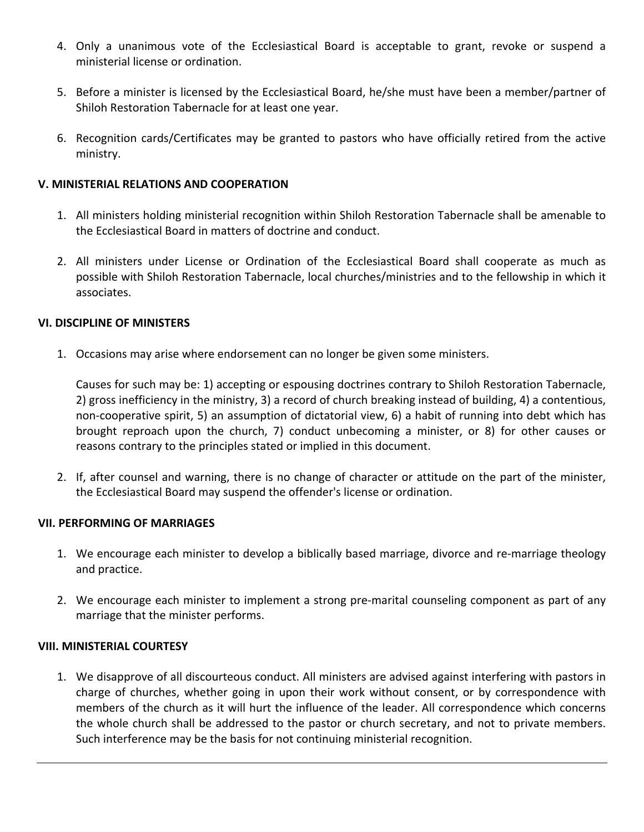- 4. Only a unanimous vote of the Ecclesiastical Board is acceptable to grant, revoke or suspend a ministerial license or ordination.
- 5. Before a minister is licensed by the Ecclesiastical Board, he/she must have been a member/partner of Shiloh Restoration Tabernacle for at least one year.
- 6. Recognition cards/Certificates may be granted to pastors who have officially retired from the active ministry.

## **V. MINISTERIAL RELATIONS AND COOPERATION**

- 1. All ministers holding ministerial recognition within Shiloh Restoration Tabernacle shall be amenable to the Ecclesiastical Board in matters of doctrine and conduct.
- 2. All ministers under License or Ordination of the Ecclesiastical Board shall cooperate as much as possible with Shiloh Restoration Tabernacle, local churches/ministries and to the fellowship in which it associates.

## **VI. DISCIPLINE OF MINISTERS**

1. Occasions may arise where endorsement can no longer be given some ministers.

Causes for such may be: 1) accepting or espousing doctrines contrary to Shiloh Restoration Tabernacle, 2) gross inefficiency in the ministry, 3) a record of church breaking instead of building, 4) a contentious, non-cooperative spirit, 5) an assumption of dictatorial view, 6) a habit of running into debt which has brought reproach upon the church, 7) conduct unbecoming a minister, or 8) for other causes or reasons contrary to the principles stated or implied in this document.

2. If, after counsel and warning, there is no change of character or attitude on the part of the minister, the Ecclesiastical Board may suspend the offender's license or ordination.

## **VII. PERFORMING OF MARRIAGES**

- 1. We encourage each minister to develop a biblically based marriage, divorce and re-marriage theology and practice.
- 2. We encourage each minister to implement a strong pre-marital counseling component as part of any marriage that the minister performs.

## **VIII. MINISTERIAL COURTESY**

1. We disapprove of all discourteous conduct. All ministers are advised against interfering with pastors in charge of churches, whether going in upon their work without consent, or by correspondence with members of the church as it will hurt the influence of the leader. All correspondence which concerns the whole church shall be addressed to the pastor or church secretary, and not to private members. Such interference may be the basis for not continuing ministerial recognition.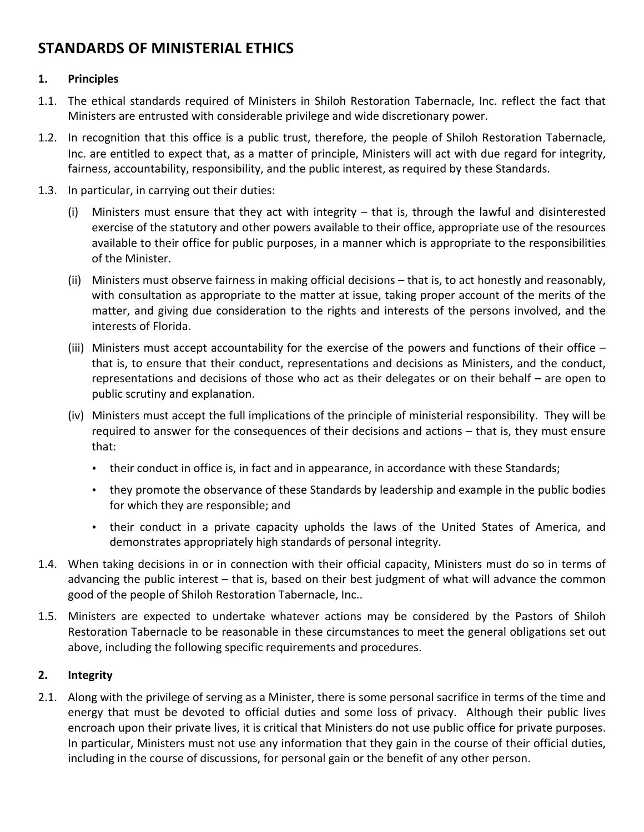# **STANDARDS OF MINISTERIAL ETHICS**

## **1. Principles**

- 1.1. The ethical standards required of Ministers in Shiloh Restoration Tabernacle, Inc. reflect the fact that Ministers are entrusted with considerable privilege and wide discretionary power.
- 1.2. In recognition that this office is a public trust, therefore, the people of Shiloh Restoration Tabernacle, Inc. are entitled to expect that, as a matter of principle, Ministers will act with due regard for integrity, fairness, accountability, responsibility, and the public interest, as required by these Standards.
- 1.3. In particular, in carrying out their duties:
	- (i) Ministers must ensure that they act with integrity  $-$  that is, through the lawful and disinterested exercise of the statutory and other powers available to their office, appropriate use of the resources available to their office for public purposes, in a manner which is appropriate to the responsibilities of the Minister.
	- (ii) Ministers must observe fairness in making official decisions  $-$  that is, to act honestly and reasonably, with consultation as appropriate to the matter at issue, taking proper account of the merits of the matter, and giving due consideration to the rights and interests of the persons involved, and the interests of Florida.
	- (iii) Ministers must accept accountability for the exercise of the powers and functions of their office  $$ that is, to ensure that their conduct, representations and decisions as Ministers, and the conduct, representations and decisions of those who act as their delegates or on their behalf – are open to public scrutiny and explanation.
	- (iv) Ministers must accept the full implications of the principle of ministerial responsibility. They will be required to answer for the consequences of their decisions and actions – that is, they must ensure that:
		- their conduct in office is, in fact and in appearance, in accordance with these Standards;
		- they promote the observance of these Standards by leadership and example in the public bodies for which they are responsible; and
		- their conduct in a private capacity upholds the laws of the United States of America, and demonstrates appropriately high standards of personal integrity.
- 1.4. When taking decisions in or in connection with their official capacity, Ministers must do so in terms of advancing the public interest  $-$  that is, based on their best judgment of what will advance the common good of the people of Shiloh Restoration Tabernacle, Inc..
- 1.5. Ministers are expected to undertake whatever actions may be considered by the Pastors of Shiloh Restoration Tabernacle to be reasonable in these circumstances to meet the general obligations set out above, including the following specific requirements and procedures.

## **2. Integrity**

2.1. Along with the privilege of serving as a Minister, there is some personal sacrifice in terms of the time and energy that must be devoted to official duties and some loss of privacy. Although their public lives encroach upon their private lives, it is critical that Ministers do not use public office for private purposes. In particular, Ministers must not use any information that they gain in the course of their official duties, including in the course of discussions, for personal gain or the benefit of any other person.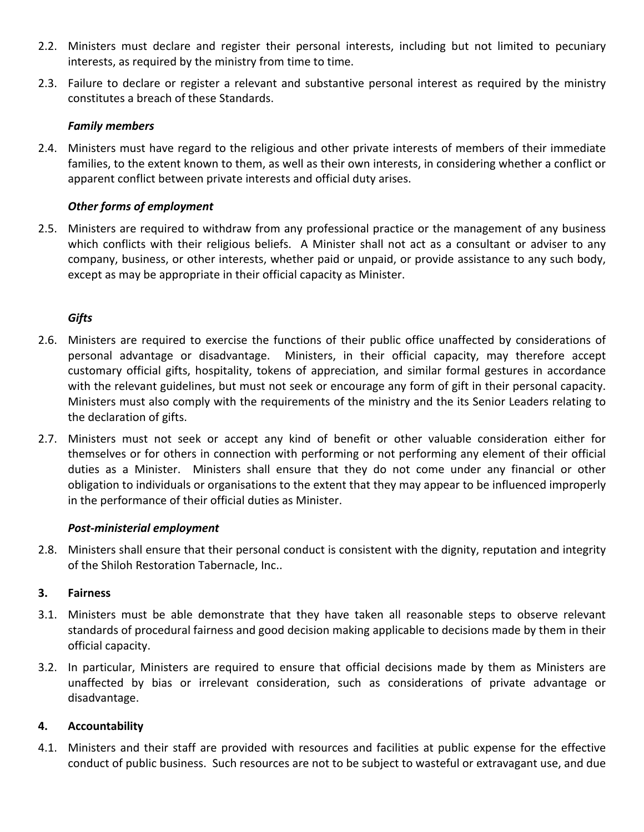- 2.2. Ministers must declare and register their personal interests, including but not limited to pecuniary interests, as required by the ministry from time to time.
- 2.3. Failure to declare or register a relevant and substantive personal interest as required by the ministry constitutes a breach of these Standards.

## *Family members*

2.4. Ministers must have regard to the religious and other private interests of members of their immediate families, to the extent known to them, as well as their own interests, in considering whether a conflict or apparent conflict between private interests and official duty arises.

## **Other forms of employment**

2.5. Ministers are required to withdraw from any professional practice or the management of any business which conflicts with their religious beliefs. A Minister shall not act as a consultant or adviser to any company, business, or other interests, whether paid or unpaid, or provide assistance to any such body, except as may be appropriate in their official capacity as Minister.

## *Gifts*

- 2.6. Ministers are required to exercise the functions of their public office unaffected by considerations of personal advantage or disadvantage. Ministers, in their official capacity, may therefore accept customary official gifts, hospitality, tokens of appreciation, and similar formal gestures in accordance with the relevant guidelines, but must not seek or encourage any form of gift in their personal capacity. Ministers must also comply with the requirements of the ministry and the its Senior Leaders relating to the declaration of gifts.
- 2.7. Ministers must not seek or accept any kind of benefit or other valuable consideration either for themselves or for others in connection with performing or not performing any element of their official duties as a Minister. Ministers shall ensure that they do not come under any financial or other obligation to individuals or organisations to the extent that they may appear to be influenced improperly in the performance of their official duties as Minister.

## *Post-ministerial employment*

2.8. Ministers shall ensure that their personal conduct is consistent with the dignity, reputation and integrity of the Shiloh Restoration Tabernacle, Inc..

## **3. Fairness**

- 3.1. Ministers must be able demonstrate that they have taken all reasonable steps to observe relevant standards of procedural fairness and good decision making applicable to decisions made by them in their official capacity.
- 3.2. In particular, Ministers are required to ensure that official decisions made by them as Ministers are unaffected by bias or irrelevant consideration, such as considerations of private advantage or disadvantage.

## **4. Accountability**

4.1. Ministers and their staff are provided with resources and facilities at public expense for the effective conduct of public business. Such resources are not to be subject to wasteful or extravagant use, and due